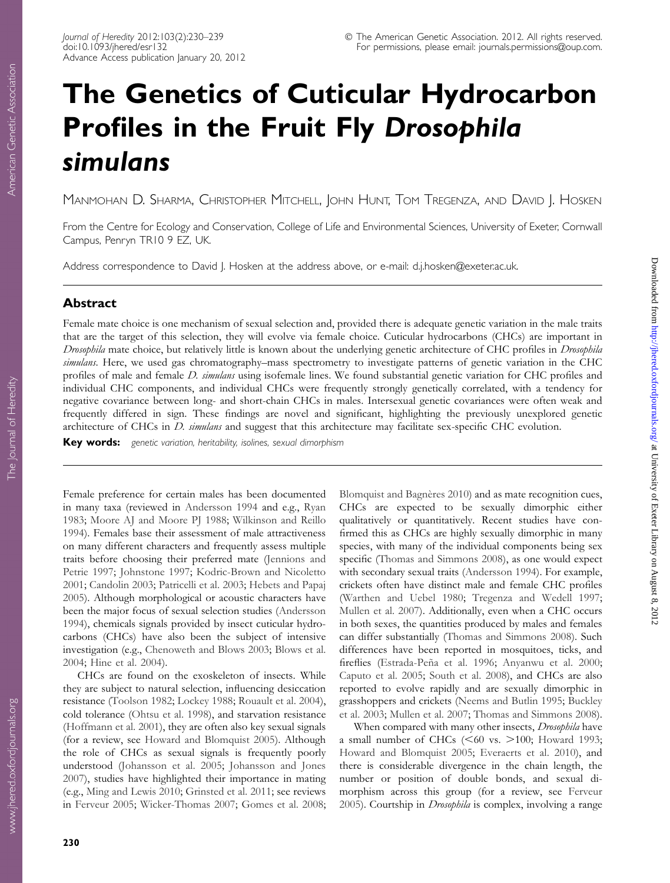# The Genetics of Cuticular Hydrocarbon Profiles in the Fruit Fly Drosophila simulans

MANMOHAN D. SHARMA, CHRISTOPHER MITCHELL, JOHN HUNT, TOM TREGENZA, AND DAVID J. HOSKEN

From the Centre for Ecology and Conservation, College of Life and Environmental Sciences, University of Exeter, Cornwall Campus, Penryn TR10 9 EZ, UK.

Address correspondence to David J. Hosken at the address above, or e-mail: d.j.hosken@exeter.ac.uk.

# Abstract

Female mate choice is one mechanism of sexual selection and, provided there is adequate genetic variation in the male traits that are the target of this selection, they will evolve via female choice. Cuticular hydrocarbons (CHCs) are important in Drosophila mate choice, but relatively little is known about the underlying genetic architecture of CHC profiles in Drosophila simulans. Here, we used gas chromatography–mass spectrometry to investigate patterns of genetic variation in the CHC profiles of male and female D. simulans using isofemale lines. We found substantial genetic variation for CHC profiles and individual CHC components, and individual CHCs were frequently strongly genetically correlated, with a tendency for negative covariance between long- and short-chain CHCs in males. Intersexual genetic covariances were often weak and frequently differed in sign. These findings are novel and significant, highlighting the previously unexplored genetic architecture of CHCs in *D. simulans* and suggest that this architecture may facilitate sex-specific CHC evolution.

Key words: genetic variation, heritability, isolines, sexual dimorphism

Female preference for certain males has been documented in many taxa (reviewed in [Andersson 1994](#page-7-0) and e.g., [Ryan](#page-9-0) [1983;](#page-9-0) [Moore AJ and Moore PJ 1988;](#page-9-0) [Wilkinson and Reillo](#page-9-0) [1994\)](#page-9-0). Females base their assessment of male attractiveness on many different characters and frequently assess multiple traits before choosing their preferred mate ([Jennions and](#page-8-0) [Petrie 1997;](#page-8-0) [Johnstone 1997](#page-8-0); [Kodric-Brown and Nicoletto](#page-8-0) [2001;](#page-8-0) [Candolin 2003;](#page-7-0) [Patricelli et al. 2003](#page-9-0); [Hebets and Papaj](#page-8-0) [2005\)](#page-8-0). Although morphological or acoustic characters have been the major focus of sexual selection studies [\(Andersson](#page-7-0) [1994\)](#page-7-0), chemicals signals provided by insect cuticular hydrocarbons (CHCs) have also been the subject of intensive investigation (e.g., [Chenoweth and Blows 2003;](#page-7-0) [Blows et al.](#page-7-0) [2004;](#page-7-0) [Hine et al. 2004](#page-8-0)).

CHCs are found on the exoskeleton of insects. While they are subject to natural selection, influencing desiccation resistance ([Toolson 1982;](#page-9-0) [Lockey 1988;](#page-8-0) [Rouault et al. 2004\)](#page-9-0), cold tolerance ([Ohtsu et al. 1998\)](#page-9-0), and starvation resistance ([Hoffmann et al. 2001](#page-8-0)), they are often also key sexual signals (for a review, see [Howard and Blomquist 2005\)](#page-8-0). Although the role of CHCs as sexual signals is frequently poorly understood ([Johansson et al. 2005;](#page-8-0) [Johansson and Jones](#page-8-0) [2007\)](#page-8-0), studies have highlighted their importance in mating (e.g., [Ming and Lewis 2010;](#page-9-0) [Grinsted et al. 2011;](#page-8-0) see reviews in [Ferveur 2005;](#page-8-0) [Wicker-Thomas 2007;](#page-9-0) [Gomes et al. 2008;](#page-8-0) Blomquist and Bagnères 2010) and as mate recognition cues, CHCs are expected to be sexually dimorphic either qualitatively or quantitatively. Recent studies have confirmed this as CHCs are highly sexually dimorphic in many species, with many of the individual components being sex specific ([Thomas and Simmons 2008\)](#page-9-0), as one would expect with secondary sexual traits [\(Andersson 1994\)](#page-7-0). For example, crickets often have distinct male and female CHC profiles ([Warthen and Uebel 1980;](#page-9-0) [Tregenza and Wedell 1997;](#page-9-0) [Mullen et al. 2007\)](#page-9-0). Additionally, even when a CHC occurs in both sexes, the quantities produced by males and females can differ substantially ([Thomas and Simmons 2008\)](#page-9-0). Such differences have been reported in mosquitoes, ticks, and fireflies (Estrada-Peña et al. 1996; [Anyanwu et al. 2000;](#page-7-0) [Caputo et al. 2005;](#page-7-0) [South et al. 2008](#page-9-0)), and CHCs are also reported to evolve rapidly and are sexually dimorphic in grasshoppers and crickets [\(Neems and Butlin 1995;](#page-9-0) [Buckley](#page-7-0) [et al. 2003;](#page-7-0) [Mullen et al. 2007](#page-9-0); [Thomas and Simmons 2008\)](#page-9-0).

When compared with many other insects, Drosophila have a small number of CHCs  $(< 60$  vs.  $> 100$ ; [Howard 1993;](#page-8-0) [Howard and Blomquist 2005;](#page-8-0) [Everaerts et al. 2010](#page-8-0)), and there is considerable divergence in the chain length, the number or position of double bonds, and sexual dimorphism across this group (for a review, see [Ferveur](#page-8-0) [2005\)](#page-8-0). Courtship in Drosophila is complex, involving a range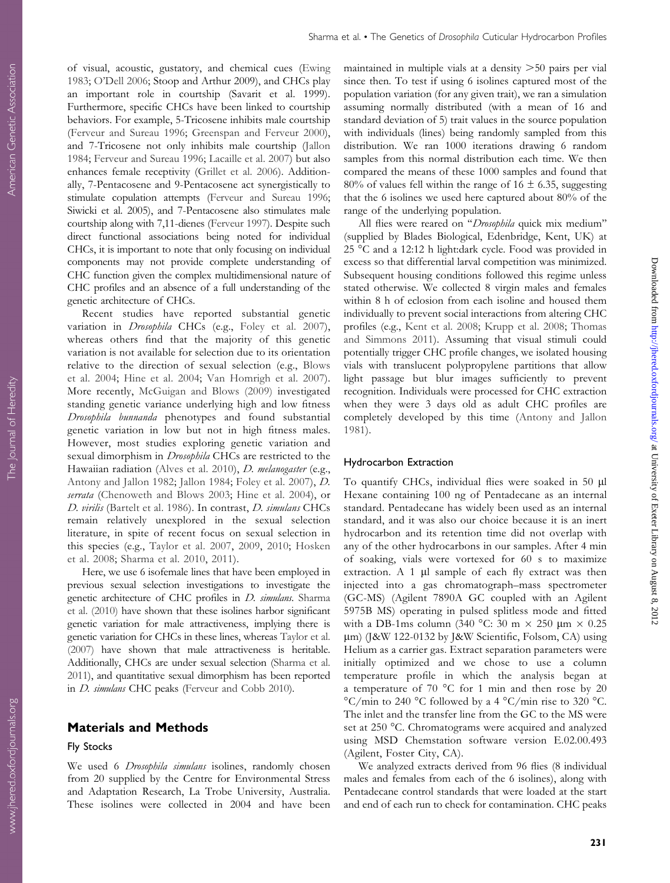Sharma et al. • The Genetics of Drosophila Cuticular Hydrocarbon Profiles

of visual, acoustic, gustatory, and chemical cues ([Ewing](#page-8-0) [1983;](#page-8-0) [O'Dell 2006](#page-9-0); Stoop and Arthur 2009), and CHCs play an important role in courtship (Savarit et al. 1999). Furthermore, specific CHCs have been linked to courtship behaviors. For example, 5-Tricosene inhibits male courtship ([Ferveur and Sureau 1996](#page-8-0); [Greenspan and Ferveur 2000\)](#page-8-0), and 7-Tricosene not only inhibits male courtship ([Jallon](#page-8-0) [1984;](#page-8-0) [Ferveur and Sureau 1996](#page-8-0); [Lacaille et al. 2007\)](#page-8-0) but also enhances female receptivity [\(Grillet et al. 2006](#page-8-0)). Additionally, 7-Pentacosene and 9-Pentacosene act synergistically to stimulate copulation attempts [\(Ferveur and Sureau 1996;](#page-8-0) Siwicki et al. 2005), and 7-Pentacosene also stimulates male courtship along with 7,11-dienes ([Ferveur 1997\)](#page-8-0). Despite such direct functional associations being noted for individual CHCs, it is important to note that only focusing on individual components may not provide complete understanding of CHC function given the complex multidimensional nature of CHC profiles and an absence of a full understanding of the genetic architecture of CHCs.

Recent studies have reported substantial genetic variation in *Drosophila* CHCs (e.g., [Foley et al. 2007\)](#page-8-0), whereas others find that the majority of this genetic variation is not available for selection due to its orientation relative to the direction of sexual selection (e.g., [Blows](#page-7-0) [et al. 2004](#page-7-0); [Hine et al. 2004;](#page-8-0) [Van Homrigh et al. 2007\)](#page-9-0). More recently, [McGuigan and Blows \(2009\)](#page-9-0) investigated standing genetic variance underlying high and low fitness Drosophila bunnanda phenotypes and found substantial genetic variation in low but not in high fitness males. However, most studies exploring genetic variation and sexual dimorphism in *Drosophila* CHCs are restricted to the Hawaiian radiation ([Alves et al. 2010\)](#page-7-0), *D. melanogaster* (e.g., [Antony and Jallon 1982](#page-7-0); [Jallon 1984](#page-8-0); [Foley et al. 2007\)](#page-8-0), D. serrata ([Chenoweth and Blows 2003;](#page-7-0) [Hine et al. 2004](#page-8-0)), or D. virilis [\(Bartelt et al. 1986\)](#page-7-0). In contrast, D. simulans CHCs remain relatively unexplored in the sexual selection literature, in spite of recent focus on sexual selection in this species (e.g., [Taylor et al. 2007](#page-9-0), [2009,](#page-9-0) [2010;](#page-9-0) [Hosken](#page-8-0) [et al. 2008;](#page-8-0) [Sharma et al. 2010,](#page-9-0) [2011\)](#page-9-0).

Here, we use 6 isofemale lines that have been employed in previous sexual selection investigations to investigate the genetic architecture of CHC profiles in *D. simulans*. [Sharma](#page-9-0) [et al. \(2010\)](#page-9-0) have shown that these isolines harbor significant genetic variation for male attractiveness, implying there is genetic variation for CHCs in these lines, whereas [Taylor et al.](#page-9-0) [\(2007\)](#page-9-0) have shown that male attractiveness is heritable. Additionally, CHCs are under sexual selection ([Sharma et al.](#page-9-0) [2011\)](#page-9-0), and quantitative sexual dimorphism has been reported in *D. simulans* CHC peaks [\(Ferveur and Cobb 2010](#page-8-0)).

### Materials and Methods

#### Fly Stocks

We used 6 *Drosophila simulans* isolines, randomly chosen from 20 supplied by the Centre for Environmental Stress and Adaptation Research, La Trobe University, Australia. These isolines were collected in 2004 and have been maintained in multiple vials at a density  $>50$  pairs per vial since then. To test if using 6 isolines captured most of the population variation (for any given trait), we ran a simulation assuming normally distributed (with a mean of 16 and standard deviation of 5) trait values in the source population with individuals (lines) being randomly sampled from this distribution. We ran 1000 iterations drawing 6 random samples from this normal distribution each time. We then compared the means of these 1000 samples and found that 80% of values fell within the range of  $16 \pm 6.35$ , suggesting that the 6 isolines we used here captured about 80% of the range of the underlying population.

All flies were reared on "Drosophila quick mix medium" (supplied by Blades Biological, Edenbridge, Kent, UK) at 25 °C and a 12:12 h light:dark cycle. Food was provided in excess so that differential larval competition was minimized. Subsequent housing conditions followed this regime unless stated otherwise. We collected 8 virgin males and females within 8 h of eclosion from each isoline and housed them individually to prevent social interactions from altering CHC profiles (e.g., [Kent et al. 2008;](#page-8-0) [Krupp et al. 2008](#page-8-0); [Thomas](#page-9-0) [and Simmons 2011](#page-9-0)). Assuming that visual stimuli could potentially trigger CHC profile changes, we isolated housing vials with translucent polypropylene partitions that allow light passage but blur images sufficiently to prevent recognition. Individuals were processed for CHC extraction when they were 3 days old as adult CHC profiles are completely developed by this time [\(Antony and Jallon](#page-7-0) [1981\)](#page-7-0).

#### Hydrocarbon Extraction

To quantify CHCs, individual flies were soaked in 50 µl Hexane containing 100 ng of Pentadecane as an internal standard. Pentadecane has widely been used as an internal standard, and it was also our choice because it is an inert hydrocarbon and its retention time did not overlap with any of the other hydrocarbons in our samples. After 4 min of soaking, vials were vortexed for 60 s to maximize extraction. A  $1 \mu l$  sample of each fly extract was then injected into a gas chromatograph–mass spectrometer (GC-MS) (Agilent 7890A GC coupled with an Agilent 5975B MS) operating in pulsed splitless mode and fitted with a DB-1ms column (340 °C: 30 m  $\times$  250 µm  $\times$  0.25 lm) (J&W 122-0132 by J&W Scientific, Folsom, CA) using Helium as a carrier gas. Extract separation parameters were initially optimized and we chose to use a column temperature profile in which the analysis began at a temperature of 70  $^{\circ}$ C for 1 min and then rose by 20  $\mathrm{^{\circ}C/min}$  to 240  $\mathrm{^{\circ}C}$  followed by a 4  $\mathrm{^{\circ}C/min}$  rise to 320  $\mathrm{^{\circ}C}$ . The inlet and the transfer line from the GC to the MS were set at 250 °C. Chromatograms were acquired and analyzed using MSD Chemstation software version E.02.00.493 (Agilent, Foster City, CA).

We analyzed extracts derived from 96 flies (8 individual males and females from each of the 6 isolines), along with Pentadecane control standards that were loaded at the start and end of each run to check for contamination. CHC peaks

Downloaded from <http://jhered.oxfordjournals.org/> at University of Exeter Library on August 8, 2012

Downloaded from http://jhered.oxfordjournals.org/ at University of Exeter Library on August 8, 2012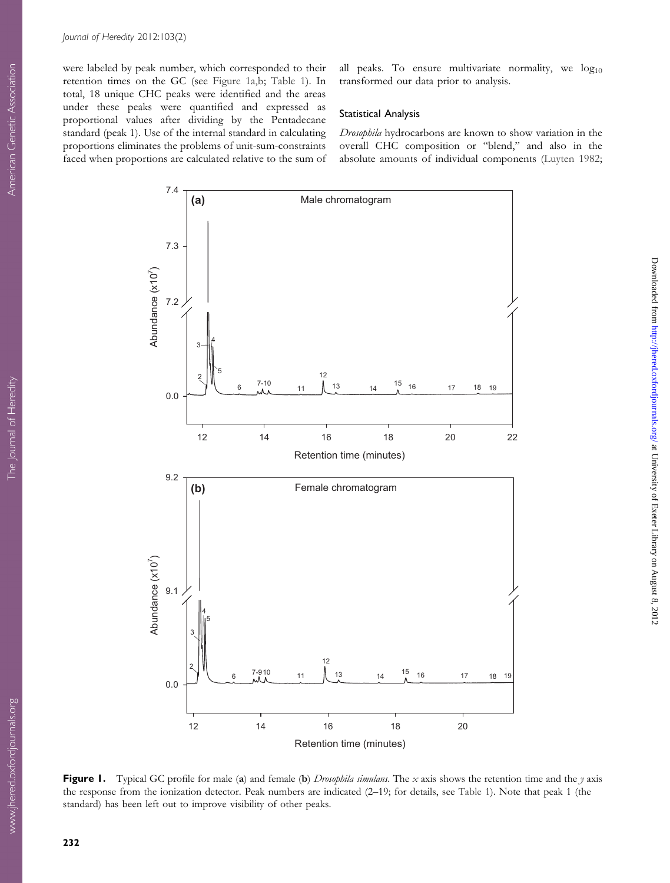<span id="page-2-0"></span>were labeled by peak number, which corresponded to their retention times on the GC (see Figure 1a,b; [Table 1\)](#page-3-0). In total, 18 unique CHC peaks were identified and the areas under these peaks were quantified and expressed as proportional values after dividing by the Pentadecane standard (peak 1). Use of the internal standard in calculating proportions eliminates the problems of unit-sum-constraints faced when proportions are calculated relative to the sum of all peaks. To ensure multivariate normality, we  $log_{10}$ transformed our data prior to analysis.

### Statistical Analysis

Drosophila hydrocarbons are known to show variation in the overall CHC composition or ''blend,'' and also in the absolute amounts of individual components [\(Luyten 1982;](#page-8-0)



Figure 1. Typical GC profile for male (a) and female (b) *Drosophila simulans*. The  $x$  axis shows the retention time and the y axis the response from the ionization detector. Peak numbers are indicated (2–19; for details, see [Table 1\)](#page-3-0). Note that peak 1 (the standard) has been left out to improve visibility of other peaks.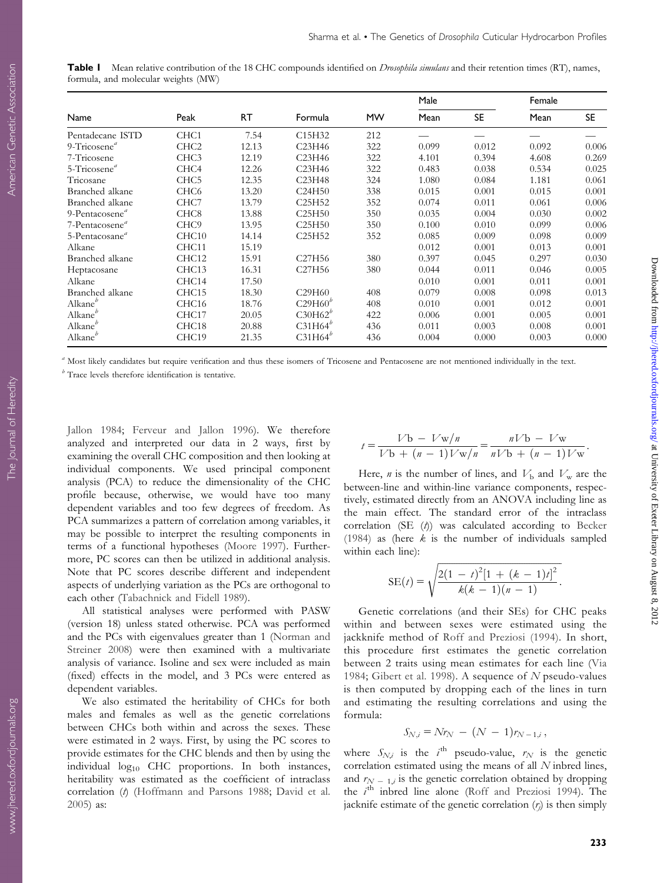<span id="page-3-0"></span>

| <b>Table I</b> Mean relative contribution of the 18 CHC compounds identified on <i>Drosophila simulans</i> and their retention times (RT), names, |  |  |  |  |
|---------------------------------------------------------------------------------------------------------------------------------------------------|--|--|--|--|
| formula, and molecular weights (MW)                                                                                                               |  |  |  |  |

|                            | Peak              | RT.   | Formula                         | <b>MW</b> | Male  |       | Female |           |
|----------------------------|-------------------|-------|---------------------------------|-----------|-------|-------|--------|-----------|
| Name                       |                   |       |                                 |           | Mean  | SE.   | Mean   | <b>SE</b> |
| Pentadecane ISTD           | CHC <sub>1</sub>  | 7.54  | C <sub>15</sub> H <sub>32</sub> | 212       |       |       |        |           |
| 9-Tricosene $a$            | CHC <sub>2</sub>  | 12.13 | C <sub>23</sub> H <sub>46</sub> | 322       | 0.099 | 0.012 | 0.092  | 0.006     |
| 7-Tricosene                | CHC <sub>3</sub>  | 12.19 | C23H46                          | 322       | 4.101 | 0.394 | 4.608  | 0.269     |
| 5-Tricosene <sup>a</sup>   | CHC <sub>4</sub>  | 12.26 | C <sub>23</sub> H <sub>46</sub> | 322       | 0.483 | 0.038 | 0.534  | 0.025     |
| Tricosane                  | CHC <sub>5</sub>  | 12.35 | C23H48                          | 324       | 1.080 | 0.084 | 1.181  | 0.061     |
| Branched alkane            | CHC <sub>6</sub>  | 13.20 | C24H50                          | 338       | 0.015 | 0.001 | 0.015  | 0.001     |
| Branched alkane            | CHC7              | 13.79 | C <sub>25</sub> H <sub>52</sub> | 352       | 0.074 | 0.011 | 0.061  | 0.006     |
| 9-Pentacosene <sup>a</sup> | CHC <sub>8</sub>  | 13.88 | C25H50                          | 350       | 0.035 | 0.004 | 0.030  | 0.002     |
| 7-Pentacosene <sup>a</sup> | CHC <sub>9</sub>  | 13.95 | C <sub>25</sub> H <sub>50</sub> | 350       | 0.100 | 0.010 | 0.099  | 0.006     |
| 5-Pentacosane <sup>a</sup> | CHC <sub>10</sub> | 14.14 | C <sub>25</sub> H <sub>52</sub> | 352       | 0.085 | 0.009 | 0.098  | 0.009     |
| Alkane                     | CHC11             | 15.19 |                                 |           | 0.012 | 0.001 | 0.013  | 0.001     |
| Branched alkane            | CHC <sub>12</sub> | 15.91 | C <sub>27</sub> H <sub>56</sub> | 380       | 0.397 | 0.045 | 0.297  | 0.030     |
| Heptacosane                | CHC13             | 16.31 | C27H56                          | 380       | 0.044 | 0.011 | 0.046  | 0.005     |
| Alkane                     | CHC14             | 17.50 |                                 |           | 0.010 | 0.001 | 0.011  | 0.001     |
| Branched alkane            | CHC <sub>15</sub> | 18.30 | C29H60                          | 408       | 0.079 | 0.008 | 0.098  | 0.013     |
| Alkane <sup>b</sup>        | CHC <sub>16</sub> | 18.76 | $C29H60^b$                      | 408       | 0.010 | 0.001 | 0.012  | 0.001     |
| Alkane <sup>b</sup>        | CHC17             | 20.05 | $C30H62^b$                      | 422       | 0.006 | 0.001 | 0.005  | 0.001     |
| Alkane <sup>b</sup>        | CHC18             | 20.88 | $C31H64^b$                      | 436       | 0.011 | 0.003 | 0.008  | 0.001     |
| Alkane <sup>b</sup>        | CHC19             | 21.35 | $C31H64^b$                      | 436       | 0.004 | 0.000 | 0.003  | 0.000     |

<sup>a</sup> Most likely candidates but require verification and thus these isomers of Tricosene and Pentacosene are not mentioned individually in the text.

 $\frac{b}{b}$  Trace levels therefore identification is tentative.

[Jallon 1984](#page-8-0); [Ferveur and Jallon 1996\)](#page-8-0). We therefore analyzed and interpreted our data in 2 ways, first by examining the overall CHC composition and then looking at individual components. We used principal component analysis (PCA) to reduce the dimensionality of the CHC profile because, otherwise, we would have too many dependent variables and too few degrees of freedom. As PCA summarizes a pattern of correlation among variables, it may be possible to interpret the resulting components in terms of a functional hypotheses ([Moore 1997\)](#page-9-0). Furthermore, PC scores can then be utilized in additional analysis. Note that PC scores describe different and independent aspects of underlying variation as the PCs are orthogonal to each other [\(Tabachnick and Fidell 1989\)](#page-9-0).

All statistical analyses were performed with PASW (version 18) unless stated otherwise. PCA was performed and the PCs with eigenvalues greater than 1 [\(Norman and](#page-9-0) [Streiner 2008\)](#page-9-0) were then examined with a multivariate analysis of variance. Isoline and sex were included as main (fixed) effects in the model, and 3 PCs were entered as dependent variables.

We also estimated the heritability of CHCs for both males and females as well as the genetic correlations between CHCs both within and across the sexes. These were estimated in 2 ways. First, by using the PC scores to provide estimates for the CHC blends and then by using the individual log<sub>10</sub> CHC proportions. In both instances, heritability was estimated as the coefficient of intraclass correlation (t) [\(Hoffmann and Parsons 1988;](#page-8-0) [David et al.](#page-8-0) [2005\)](#page-8-0) as:

$$
t = \frac{V\mathbf{b} - V\mathbf{w}/n}{V\mathbf{b} + (n-1)V\mathbf{w}/n} = \frac{nV\mathbf{b} - V\mathbf{w}}{nV\mathbf{b} + (n-1)V\mathbf{w}}.
$$

Here, *n* is the number of lines, and  $V<sub>b</sub>$  and  $V<sub>w</sub>$  are the between-line and within-line variance components, respectively, estimated directly from an ANOVA including line as the main effect. The standard error of the intraclass correlation (SE $(t)$ ) was calculated according to [Becker](#page-7-0) [\(1984\)](#page-7-0) as (here  $k$  is the number of individuals sampled within each line):

$$
SE(t) = \sqrt{\frac{2(1-t)^2[1+(k-1)t]^2}{k(k-1)(n-1)}}.
$$

Genetic correlations (and their SEs) for CHC peaks within and between sexes were estimated using the jackknife method of [Roff and Preziosi \(1994\)](#page-9-0). In short, this procedure first estimates the genetic correlation between 2 traits using mean estimates for each line ([Via](#page-9-0) [1984](#page-9-0); [Gibert et al. 1998\)](#page-8-0). A sequence of  $N$  pseudo-values is then computed by dropping each of the lines in turn and estimating the resulting correlations and using the formula:

$$
S_{N,i} = N r_N - (N - 1) r_{N-1,i},
$$

where  $S_{N,i}$  is the i<sup>th</sup> pseudo-value,  $r_N$  is the genetic correlation estimated using the means of all N inbred lines, and  $r_{N-1,i}$  is the genetic correlation obtained by dropping the *i*<sup>th</sup> inbred line alone [\(Roff and Preziosi 1994](#page-9-0)). The jacknife estimate of the genetic correlation  $(r_j)$  is then simply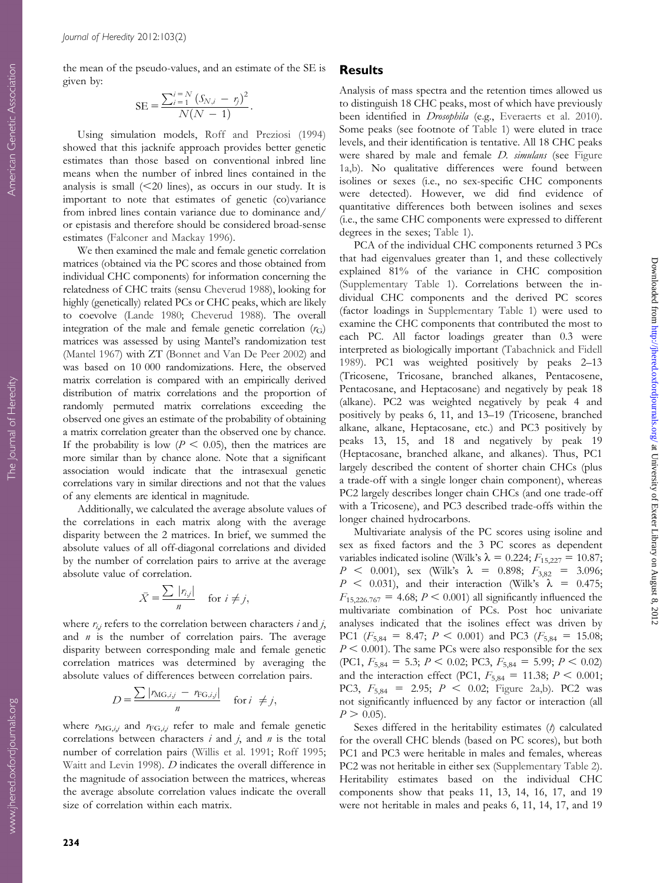Journal of Heredity 2012:103(2)

the mean of the pseudo-values, and an estimate of the SE is given by:

SE = 
$$
\frac{\sum_{i=1}^{i=N} (S_{N,i} - r_i)^2}{N(N-1)}.
$$

Using simulation models, [Roff and Preziosi \(1994\)](#page-9-0) showed that this jacknife approach provides better genetic estimates than those based on conventional inbred line means when the number of inbred lines contained in the analysis is small  $(<20$  lines), as occurs in our study. It is important to note that estimates of genetic (co)variance from inbred lines contain variance due to dominance and/ or epistasis and therefore should be considered broad-sense estimates ([Falconer and Mackay 1996\)](#page-8-0).

We then examined the male and female genetic correlation matrices (obtained via the PC scores and those obtained from individual CHC components) for information concerning the relatedness of CHC traits (sensu [Cheverud 1988\)](#page-7-0), looking for highly (genetically) related PCs or CHC peaks, which are likely to coevolve ([Lande 1980;](#page-8-0) [Cheverud 1988\)](#page-7-0). The overall integration of the male and female genetic correlation  $(r_G)$ matrices was assessed by using Mantel's randomization test ([Mantel 1967](#page-9-0)) with ZT [\(Bonnet and Van De Peer 2002](#page-7-0)) and was based on 10 000 randomizations. Here, the observed matrix correlation is compared with an empirically derived distribution of matrix correlations and the proportion of randomly permuted matrix correlations exceeding the observed one gives an estimate of the probability of obtaining a matrix correlation greater than the observed one by chance. If the probability is low ( $P < 0.05$ ), then the matrices are more similar than by chance alone. Note that a significant association would indicate that the intrasexual genetic correlations vary in similar directions and not that the values of any elements are identical in magnitude.

Additionally, we calculated the average absolute values of the correlations in each matrix along with the average disparity between the 2 matrices. In brief, we summed the absolute values of all off-diagonal correlations and divided by the number of correlation pairs to arrive at the average absolute value of correlation.

$$
\bar{X} = \frac{\sum |r_{ij}|}{n} \quad \text{for } i \neq j,
$$

where  $r_{i,j}$  refers to the correlation between characters i and j, and  $n$  is the number of correlation pairs. The average disparity between corresponding male and female genetic correlation matrices was determined by averaging the absolute values of differences between correlation pairs.

$$
D = \frac{\sum |r_{\text{MG},i,j} - r_{\text{FG},i,j}|}{n} \quad \text{for } i \neq j,
$$

where  $r_{\text{MG},i,j}$  and  $r_{\text{FG},i,j}$  refer to male and female genetic correlations between characters  $i$  and  $j$ , and  $n$  is the total number of correlation pairs ([Willis et al. 1991](#page-9-0); [Roff 1995;](#page-9-0) [Waitt and Levin 1998\)](#page-9-0). D indicates the overall difference in the magnitude of association between the matrices, whereas the average absolute correlation values indicate the overall size of correlation within each matrix.

#### Results

Analysis of mass spectra and the retention times allowed us to distinguish 18 CHC peaks, most of which have previously been identified in *Drosophila* (e.g., [Everaerts et al. 2010\)](#page-8-0). Some peaks (see footnote of [Table 1](#page-3-0)) were eluted in trace levels, and their identification is tentative. All 18 CHC peaks were shared by male and female *D. simulans* (see [Figure](#page-2-0) [1a,b\)](#page-2-0). No qualitative differences were found between isolines or sexes (i.e., no sex-specific CHC components were detected). However, we did find evidence of quantitative differences both between isolines and sexes (i.e., the same CHC components were expressed to different degrees in the sexes; [Table 1\)](#page-3-0).

PCA of the individual CHC components returned 3 PCs that had eigenvalues greater than 1, and these collectively explained 81% of the variance in CHC composition ([Supplementary Table 1\)](http://www.jhered.oxfordjournals.org/lookup/suppl/doi:10.1093/jhered/esr132/-/DC1). Correlations between the individual CHC components and the derived PC scores (factor loadings in [Supplementary Table 1](http://www.jhered.oxfordjournals.org/lookup/suppl/doi:10.1093/jhered/esr132/-/DC1)) were used to examine the CHC components that contributed the most to each PC. All factor loadings greater than 0.3 were interpreted as biologically important ([Tabachnick and Fidell](#page-9-0) [1989\)](#page-9-0). PC1 was weighted positively by peaks 2–13 (Tricosene, Tricosane, branched alkanes, Pentacosene, Pentacosane, and Heptacosane) and negatively by peak 18 (alkane). PC2 was weighted negatively by peak 4 and positively by peaks 6, 11, and 13–19 (Tricosene, branched alkane, alkane, Heptacosane, etc.) and PC3 positively by peaks 13, 15, and 18 and negatively by peak 19 (Heptacosane, branched alkane, and alkanes). Thus, PC1 largely described the content of shorter chain CHCs (plus a trade-off with a single longer chain component), whereas PC2 largely describes longer chain CHCs (and one trade-off with a Tricosene), and PC3 described trade-offs within the longer chained hydrocarbons.

Downloaded from <http://jhered.oxfordjournals.org/> at University of Exeter Library on August 8, 2012

Downloaded from http://jhered.oxfordjournals.org/ at University of Exeter Library on August 8, 2012

Multivariate analysis of the PC scores using isoline and sex as fixed factors and the 3 PC scores as dependent variables indicated isoline (Wilk's  $\lambda = 0.224; F_{15,227} = 10.87;$  $P \, \leq \, 0.001$ ), sex (Wilk's  $\lambda = 0.898; F_{3,82} = 3.096;$  $P \leq 0.031$ , and their interaction (Wilk's  $\lambda = 0.475$ ;  $F_{15,226,767} = 4.68; P \le 0.001$  all significantly influenced the multivariate combination of PCs. Post hoc univariate analyses indicated that the isolines effect was driven by PC1 ( $F_{5,84} = 8.47$ ;  $P < 0.001$ ) and PC3 ( $F_{5,84} = 15.08$ ;  $P < 0.001$ ). The same PCs were also responsible for the sex (PC1,  $F_{5,84} = 5.3; P \lt 0.02; PC3, F_{5,84} = 5.99; P \lt 0.02$ ) and the interaction effect (PC1,  $F_{5,84} = 11.38; P \le 0.001;$ PC3,  $F_{5,84} = 2.95$ ;  $P < 0.02$ ; [Figure 2a,b\)](#page-5-0). PC2 was not significantly influenced by any factor or interaction (all  $P > 0.05$ ).

Sexes differed in the heritability estimates  $(t)$  calculated for the overall CHC blends (based on PC scores), but both PC1 and PC3 were heritable in males and females, whereas PC2 was not heritable in either sex ([Supplementary Table 2\)](http://www.jhered.oxfordjournals.org/lookup/suppl/doi:10.1093/jhered/esr132/-/DC1). Heritability estimates based on the individual CHC components show that peaks 11, 13, 14, 16, 17, and 19 were not heritable in males and peaks 6, 11, 14, 17, and 19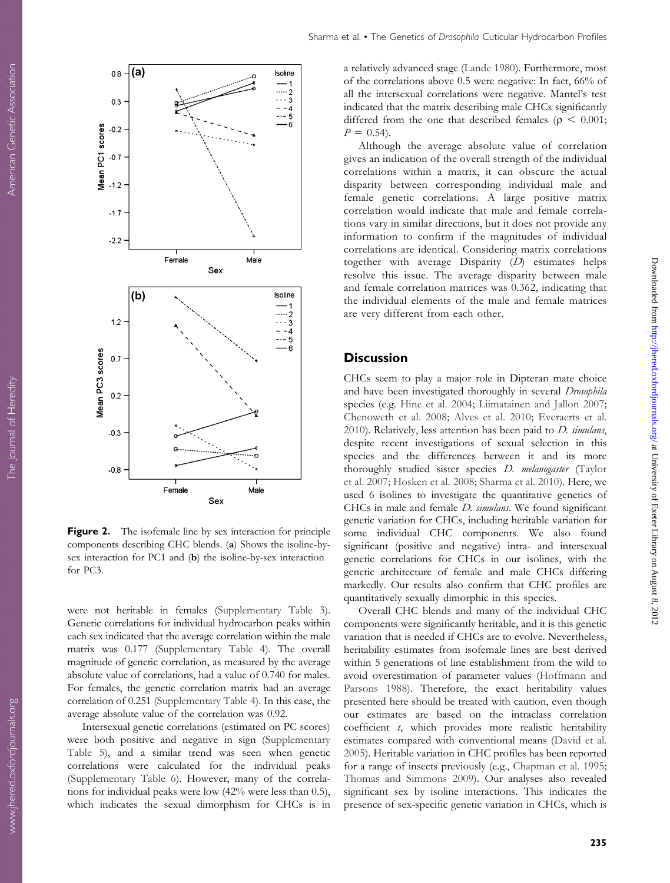<span id="page-5-0"></span>

Figure 2. The isofemale line by sex interaction for principle components describing CHC blends. (a) Shows the isoline-bysex interaction for PC1 and (b) the isoline-by-sex interaction for PC3.

were not heritable in females [\(Supplementary Table 3\)](http://www.jhered.oxfordjournals.org/lookup/suppl/doi:10.1093/jhered/esr132/-/DC1). Genetic correlations for individual hydrocarbon peaks within each sex indicated that the average correlation within the male matrix was 0.177 [\(Supplementary Table 4](http://www.jhered.oxfordjournals.org/lookup/suppl/doi:10.1093/jhered/esr132/-/DC1)). The overall magnitude of genetic correlation, as measured by the average absolute value of correlations, had a value of 0.740 for males. For females, the genetic correlation matrix had an average correlation of 0.251 [\(Supplementary Table 4](http://www.jhered.oxfordjournals.org/lookup/suppl/doi:10.1093/jhered/esr132/-/DC1)). In this case, the average absolute value of the correlation was 0.92.

Intersexual genetic correlations (estimated on PC scores) were both positive and negative in sign [\(Supplementary](http://www.jhered.oxfordjournals.org/lookup/suppl/doi:10.1093/jhered/esr132/-/DC1) [Table 5\)](http://www.jhered.oxfordjournals.org/lookup/suppl/doi:10.1093/jhered/esr132/-/DC1), and a similar trend was seen when genetic correlations were calculated for the individual peaks ([Supplementary Table 6\)](http://www.jhered.oxfordjournals.org/lookup/suppl/doi:10.1093/jhered/esr132/-/DC1). However, many of the correlations for individual peaks were low (42% were less than 0.5), which indicates the sexual dimorphism for CHCs is in a relatively advanced stage ([Lande 1980\)](#page-8-0). Furthermore, most of the correlations above 0.5 were negative: In fact, 66% of all the intersexual correlations were negative. Mantel's test indicated that the matrix describing male CHCs significantly differed from the one that described females ( $\rho < 0.001$ ;  $P = 0.54$ .

Although the average absolute value of correlation gives an indication of the overall strength of the individual correlations within a matrix, it can obscure the actual disparity between corresponding individual male and female genetic correlations. A large positive matrix correlation would indicate that male and female correlations vary in similar directions, but it does not provide any information to confirm if the magnitudes of individual correlations are identical. Considering matrix correlations together with average Disparity (D) estimates helps resolve this issue. The average disparity between male and female correlation matrices was 0.362, indicating that the individual elements of the male and female matrices are very different from each other.

## **Discussion**

CHCs seem to play a major role in Dipteran mate choice and have been investigated thoroughly in several Drosophila species (e.g. [Hine et al. 2004;](#page-8-0) [Liimatainen and Jallon 2007;](#page-8-0) [Chenoweth et al. 2008](#page-7-0); [Alves et al. 2010;](#page-7-0) [Everaerts et al.](#page-8-0) [2010\)](#page-8-0). Relatively, less attention has been paid to  $D$ . simulans, despite recent investigations of sexual selection in this species and the differences between it and its more thoroughly studied sister species D. melanogaster ([Taylor](#page-9-0) [et al. 2007](#page-9-0); [Hosken et al. 2008;](#page-8-0) [Sharma et al. 2010\)](#page-9-0). Here, we used 6 isolines to investigate the quantitative genetics of CHCs in male and female *D. simulans*. We found significant genetic variation for CHCs, including heritable variation for some individual CHC components. We also found significant (positive and negative) intra- and intersexual genetic correlations for CHCs in our isolines, with the genetic architecture of female and male CHCs differing markedly. Our results also confirm that CHC profiles are quantitatively sexually dimorphic in this species.

Overall CHC blends and many of the individual CHC components were significantly heritable, and it is this genetic variation that is needed if CHCs are to evolve. Nevertheless, heritability estimates from isofemale lines are best derived within 5 generations of line establishment from the wild to avoid overestimation of parameter values [\(Hoffmann and](#page-8-0) [Parsons 1988\)](#page-8-0). Therefore, the exact heritability values presented here should be treated with caution, even though our estimates are based on the intraclass correlation coefficient t, which provides more realistic heritability estimates compared with conventional means [\(David et al.](#page-8-0) [2005\)](#page-8-0). Heritable variation in CHC profiles has been reported for a range of insects previously (e.g., [Chapman et al. 1995;](#page-7-0) [Thomas and Simmons 2009\)](#page-9-0). Our analyses also revealed significant sex by isoline interactions. This indicates the presence of sex-specific genetic variation in CHCs, which is

Downloaded from <http://jhered.oxfordjournals.org/> at University of Exeter Library on August 8, 2012

Downloaded from http://jhered.oxfordjournals.org/ at University of Exeter Library on August 8, 2012

235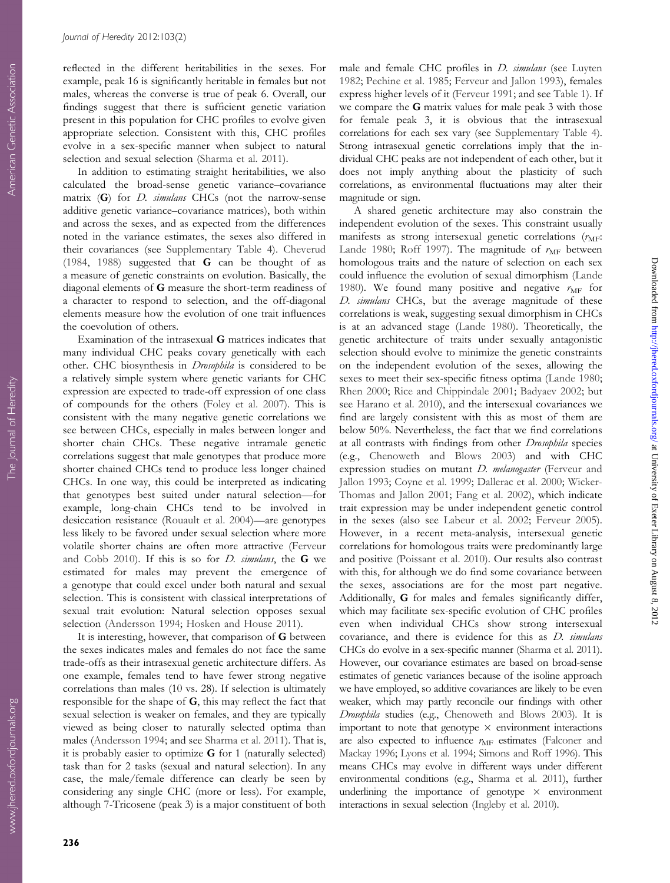reflected in the different heritabilities in the sexes. For example, peak 16 is significantly heritable in females but not males, whereas the converse is true of peak 6. Overall, our findings suggest that there is sufficient genetic variation present in this population for CHC profiles to evolve given appropriate selection. Consistent with this, CHC profiles evolve in a sex-specific manner when subject to natural selection and sexual selection [\(Sharma et al. 2011\)](#page-9-0).

In addition to estimating straight heritabilities, we also calculated the broad-sense genetic variance–covariance matrix  $(G)$  for  $D.$  simulans CHCs (not the narrow-sense additive genetic variance–covariance matrices), both within and across the sexes, and as expected from the differences noted in the variance estimates, the sexes also differed in their covariances (see [Supplementary Table 4](http://www.jhered.oxfordjournals.org/lookup/suppl/doi:10.1093/jhered/esr132/-/DC1)). [Cheverud](#page-7-0) [\(1984](#page-7-0), [1988\)](#page-7-0) suggested that G can be thought of as a measure of genetic constraints on evolution. Basically, the diagonal elements of G measure the short-term readiness of a character to respond to selection, and the off-diagonal elements measure how the evolution of one trait influences the coevolution of others.

Examination of the intrasexual G matrices indicates that many individual CHC peaks covary genetically with each other. CHC biosynthesis in *Drosophila* is considered to be a relatively simple system where genetic variants for CHC expression are expected to trade-off expression of one class of compounds for the others [\(Foley et al. 2007\)](#page-8-0). This is consistent with the many negative genetic correlations we see between CHCs, especially in males between longer and shorter chain CHCs. These negative intramale genetic correlations suggest that male genotypes that produce more shorter chained CHCs tend to produce less longer chained CHCs. In one way, this could be interpreted as indicating that genotypes best suited under natural selection—for example, long-chain CHCs tend to be involved in desiccation resistance [\(Rouault et al. 2004](#page-9-0))—are genotypes less likely to be favored under sexual selection where more volatile shorter chains are often more attractive ([Ferveur](#page-8-0) [and Cobb 2010\)](#page-8-0). If this is so for  $D$ . simulans, the  $G$  we estimated for males may prevent the emergence of a genotype that could excel under both natural and sexual selection. This is consistent with classical interpretations of sexual trait evolution: Natural selection opposes sexual selection ([Andersson 1994;](#page-7-0) [Hosken and House 2011\)](#page-8-0).

It is interesting, however, that comparison of G between the sexes indicates males and females do not face the same trade-offs as their intrasexual genetic architecture differs. As one example, females tend to have fewer strong negative correlations than males (10 vs. 28). If selection is ultimately responsible for the shape of G, this may reflect the fact that sexual selection is weaker on females, and they are typically viewed as being closer to naturally selected optima than males [\(Andersson 1994](#page-7-0); and see [Sharma et al. 2011\)](#page-9-0). That is, it is probably easier to optimize  $G$  for 1 (naturally selected) task than for 2 tasks (sexual and natural selection). In any case, the male/female difference can clearly be seen by considering any single CHC (more or less). For example, although 7-Tricosene (peak 3) is a major constituent of both

male and female CHC profiles in *D. simulans* (see [Luyten](#page-8-0) [1982;](#page-8-0) [Pechine et al. 1985](#page-9-0); [Ferveur and Jallon 1993\)](#page-8-0), females express higher levels of it ([Ferveur 1991](#page-8-0); and see [Table 1\)](#page-3-0). If we compare the G matrix values for male peak 3 with those for female peak 3, it is obvious that the intrasexual correlations for each sex vary (see [Supplementary Table 4](http://www.jhered.oxfordjournals.org/lookup/suppl/doi:10.1093/jhered/esr132/-/DC1)). Strong intrasexual genetic correlations imply that the individual CHC peaks are not independent of each other, but it does not imply anything about the plasticity of such correlations, as environmental fluctuations may alter their magnitude or sign.

A shared genetic architecture may also constrain the independent evolution of the sexes. This constraint usually manifests as strong intersexual genetic correlations  $(r_{\text{MF}}$ : [Lande 1980](#page-8-0); [Roff 1997](#page-9-0)). The magnitude of  $r_{\text{MF}}$  between homologous traits and the nature of selection on each sex could influence the evolution of sexual dimorphism [\(Lande](#page-8-0) [1980\)](#page-8-0). We found many positive and negative  $r_{\text{MF}}$  for D. simulans CHCs, but the average magnitude of these correlations is weak, suggesting sexual dimorphism in CHCs is at an advanced stage ([Lande 1980](#page-8-0)). Theoretically, the genetic architecture of traits under sexually antagonistic selection should evolve to minimize the genetic constraints on the independent evolution of the sexes, allowing the sexes to meet their sex-specific fitness optima [\(Lande 1980;](#page-8-0) [Rhen 2000;](#page-9-0) [Rice and Chippindale 2001;](#page-9-0) [Badyaev 2002;](#page-7-0) but see [Harano et al. 2010](#page-8-0)), and the intersexual covariances we find are largely consistent with this as most of them are below 50%. Nevertheless, the fact that we find correlations at all contrasts with findings from other Drosophila species (e.g., [Chenoweth and Blows 2003](#page-7-0)) and with CHC expression studies on mutant *D. melanogaster* ([Ferveur and](#page-8-0) [Jallon 1993;](#page-8-0) [Coyne et al. 1999;](#page-7-0) [Dallerac et al. 2000](#page-7-0); [Wicker-](#page-9-0)[Thomas and Jallon 2001](#page-9-0); [Fang et al. 2002\)](#page-8-0), which indicate trait expression may be under independent genetic control in the sexes (also see [Labeur et al. 2002;](#page-8-0) [Ferveur 2005\)](#page-8-0). However, in a recent meta-analysis, intersexual genetic correlations for homologous traits were predominantly large and positive [\(Poissant et al. 2010\)](#page-9-0). Our results also contrast with this, for although we do find some covariance between the sexes, associations are for the most part negative. Additionally, G for males and females significantly differ, which may facilitate sex-specific evolution of CHC profiles even when individual CHCs show strong intersexual covariance, and there is evidence for this as D. simulans CHCs do evolve in a sex-specific manner ([Sharma et al. 2011](#page-9-0)). However, our covariance estimates are based on broad-sense estimates of genetic variances because of the isoline approach we have employed, so additive covariances are likely to be even weaker, which may partly reconcile our findings with other Drosophila studies (e.g., [Chenoweth and Blows 2003](#page-7-0)). It is important to note that genotype  $\times$  environment interactions are also expected to influence  $r_{\text{MF}}$  estimates [\(Falconer and](#page-8-0) [Mackay 1996](#page-8-0); [Lyons et al. 1994;](#page-9-0) [Simons and Roff 1996\)](#page-9-0). This means CHCs may evolve in different ways under different environmental conditions (e.g., [Sharma et al. 2011\)](#page-9-0), further underlining the importance of genotype  $\times$  environment interactions in sexual selection [\(Ingleby et al. 2010\)](#page-8-0).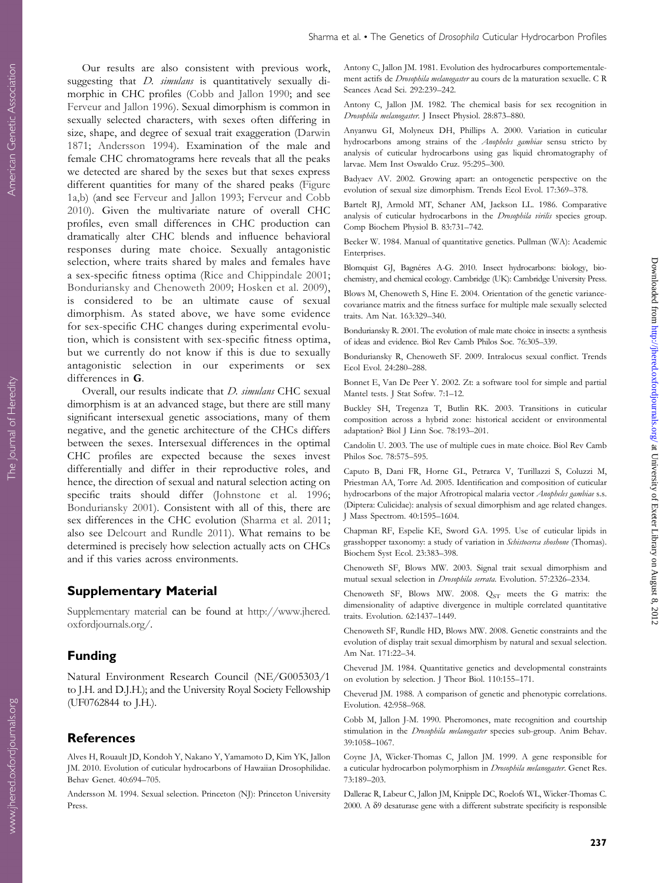<span id="page-7-0"></span>Our results are also consistent with previous work, suggesting that *D. simulans* is quantitatively sexually dimorphic in CHC profiles (Cobb and Jallon 1990; and see [Ferveur and Jallon 1996](#page-8-0)). Sexual dimorphism is common in sexually selected characters, with sexes often differing in size, shape, and degree of sexual trait exaggeration ([Darwin](#page-8-0) [1871;](#page-8-0) Andersson 1994). Examination of the male and female CHC chromatograms here reveals that all the peaks we detected are shared by the sexes but that sexes express different quantities for many of the shared peaks [\(Figure](#page-2-0) [1a,b\)](#page-2-0) (and see [Ferveur and Jallon 1993](#page-8-0); [Ferveur and Cobb](#page-8-0) [2010\)](#page-8-0). Given the multivariate nature of overall CHC profiles, even small differences in CHC production can dramatically alter CHC blends and influence behavioral responses during mate choice. Sexually antagonistic selection, where traits shared by males and females have a sex-specific fitness optima ([Rice and Chippindale 2001;](#page-9-0) Bonduriansky and Chenoweth 2009; [Hosken et al. 2009\)](#page-8-0), is considered to be an ultimate cause of sexual dimorphism. As stated above, we have some evidence for sex-specific CHC changes during experimental evolution, which is consistent with sex-specific fitness optima, but we currently do not know if this is due to sexually antagonistic selection in our experiments or sex differences in G.

Overall, our results indicate that *D. simulans* CHC sexual dimorphism is at an advanced stage, but there are still many significant intersexual genetic associations, many of them negative, and the genetic architecture of the CHCs differs between the sexes. Intersexual differences in the optimal CHC profiles are expected because the sexes invest differentially and differ in their reproductive roles, and hence, the direction of sexual and natural selection acting on specific traits should differ ([Johnstone et al. 1996;](#page-8-0) Bonduriansky 2001). Consistent with all of this, there are sex differences in the CHC evolution [\(Sharma et al. 2011;](#page-9-0) also see [Delcourt and Rundle 2011\)](#page-8-0). What remains to be determined is precisely how selection actually acts on CHCs and if this varies across environments.

#### Supplementary Material

[Supplementary material](http://www.jhered.oxfordjournals.org/lookup/suppl/doi:10.1093/jhered/esr132/-/DC1) can be found at [http://www.jhered.](http://www.jhered.oxfordjournals.org/) [oxfordjournals.org/](http://www.jhered.oxfordjournals.org/).

## Funding

Natural Environment Research Council (NE/G005303/1 to J.H. and D.J.H.); and the University Royal Society Fellowship (UF0762844 to J.H.).

#### References

Alves H, Rouault JD, Kondoh Y, Nakano Y, Yamamoto D, Kim YK, Jallon JM. 2010. Evolution of cuticular hydrocarbons of Hawaiian Drosophilidae. Behav Genet. 40:694–705.

Andersson M. 1994. Sexual selection. Princeton (NJ): Princeton University Press.

Antony C, Jallon JM. 1981. Evolution des hydrocarbures comportementalement actifs de Drosophila melanogaster au cours de la maturation sexuelle. C R Seances Acad Sci. 292:239–242.

Antony C, Jallon JM. 1982. The chemical basis for sex recognition in Drosophila melanogaster. J Insect Physiol. 28:873–880.

Anyanwu GI, Molyneux DH, Phillips A. 2000. Variation in cuticular hydrocarbons among strains of the Anopheles gambiae sensu stricto by analysis of cuticular hydrocarbons using gas liquid chromatography of larvae. Mem Inst Oswaldo Cruz. 95:295–300.

Badyaev AV. 2002. Growing apart: an ontogenetic perspective on the evolution of sexual size dimorphism. Trends Ecol Evol. 17:369–378.

Bartelt RJ, Armold MT, Schaner AM, Jackson LL. 1986. Comparative analysis of cuticular hydrocarbons in the Drosophila virilis species group. Comp Biochem Physiol B. 83:731–742.

Becker W. 1984. Manual of quantitative genetics. Pullman (WA): Academic Enterprises.

Blomquist GJ, Bagnéres A-G. 2010. Insect hydrocarbons: biology, biochemistry, and chemical ecology. Cambridge (UK): Cambridge University Press.

Blows M, Chenoweth S, Hine E. 2004. Orientation of the genetic variancecovariance matrix and the fitness surface for multiple male sexually selected traits. Am Nat. 163:329–340.

Bonduriansky R. 2001. The evolution of male mate choice in insects: a synthesis of ideas and evidence. Biol Rev Camb Philos Soc. 76:305–339.

Bonduriansky R, Chenoweth SF. 2009. Intralocus sexual conflict. Trends Ecol Evol. 24:280–288.

Bonnet E, Van De Peer Y. 2002. Zt: a software tool for simple and partial Mantel tests. J Stat Softw. 7:1–12.

Buckley SH, Tregenza T, Butlin RK. 2003. Transitions in cuticular composition across a hybrid zone: historical accident or environmental adaptation? Biol J Linn Soc. 78:193–201.

Candolin U. 2003. The use of multiple cues in mate choice. Biol Rev Camb Philos Soc. 78:575–595.

Caputo B, Dani FR, Horne GL, Petrarca V, Turillazzi S, Coluzzi M, Priestman AA, Torre Ad. 2005. Identification and composition of cuticular hydrocarbons of the major Afrotropical malaria vector Anopheles gambiae s.s. (Diptera: Culicidae): analysis of sexual dimorphism and age related changes. J Mass Spectrom. 40:1595–1604.

Chapman RF, Espelie KE, Sword GA. 1995. Use of cuticular lipids in grasshopper taxonomy: a study of variation in Schistocerca shoshone (Thomas). Biochem Syst Ecol. 23:383–398.

Chenoweth SF, Blows MW. 2003. Signal trait sexual dimorphism and mutual sexual selection in Drosophila serrata. Evolution. 57:2326–2334.

Chenoweth SF, Blows MW. 2008.  $Q_{ST}$  meets the G matrix: the dimensionality of adaptive divergence in multiple correlated quantitative traits. Evolution. 62:1437–1449.

Chenoweth SF, Rundle HD, Blows MW. 2008. Genetic constraints and the evolution of display trait sexual dimorphism by natural and sexual selection. Am Nat. 171:22–34.

Cheverud JM. 1984. Quantitative genetics and developmental constraints on evolution by selection. J Theor Biol. 110:155–171.

Cheverud JM. 1988. A comparison of genetic and phenotypic correlations. Evolution. 42:958–968.

Cobb M, Jallon J-M. 1990. Pheromones, mate recognition and courtship stimulation in the *Drosophila melanogaster* species sub-group. Anim Behav. 39:1058–1067.

Coyne JA, Wicker-Thomas C, Jallon JM. 1999. A gene responsible for a cuticular hydrocarbon polymorphism in Drosophila melanogaster. Genet Res. 73:189–203.

Dallerac R, Labeur C, Jallon JM, Knipple DC, Roelofs WL, Wicker-Thomas C. 2000. A d9 desaturase gene with a different substrate specificity is responsible Downloaded from <http://jhered.oxfordjournals.org/> at University of Exeter Library on August 8, 2012

Downloaded from http://jhered.oxfordjournals.org/ at University of Exeter Library on August 8, 2012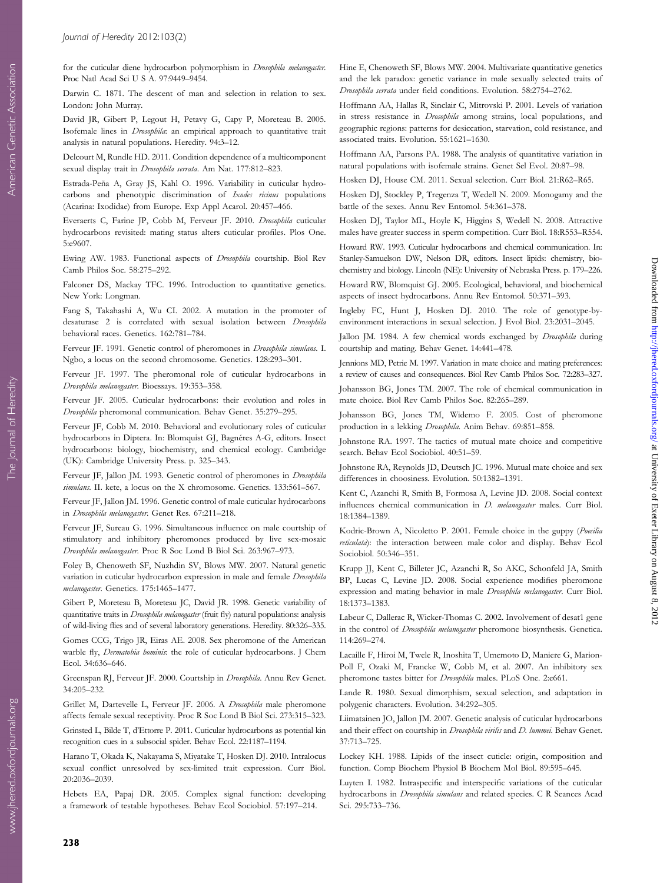<span id="page-8-0"></span>for the cuticular diene hydrocarbon polymorphism in Drosophila melanogaster. Proc Natl Acad Sci U S A. 97:9449–9454.

Darwin C. 1871. The descent of man and selection in relation to sex. London: John Murray.

David JR, Gibert P, Legout H, Petavy G, Capy P, Moreteau B. 2005. Isofemale lines in Drosophila: an empirical approach to quantitative trait analysis in natural populations. Heredity. 94:3–12.

Delcourt M, Rundle HD. 2011. Condition dependence of a multicomponent sexual display trait in Drosophila serrata. Am Nat. 177:812–823.

Estrada-Peña A, Gray JS, Kahl O. 1996. Variability in cuticular hydrocarbons and phenotypic discrimination of Ixodes ricinus populations (Acarina: Ixodidae) from Europe. Exp Appl Acarol. 20:457–466.

Everaerts C, Farine JP, Cobb M, Ferveur JF. 2010. Drosophila cuticular hydrocarbons revisited: mating status alters cuticular profiles. Plos One. 5:e9607.

Ewing AW. 1983. Functional aspects of Drosophila courtship. Biol Rev Camb Philos Soc. 58:275–292.

Falconer DS, Mackay TFC. 1996. Introduction to quantitative genetics. New York: Longman.

Fang S, Takahashi A, Wu CI. 2002. A mutation in the promoter of desaturase 2 is correlated with sexual isolation between Drosophila behavioral races. Genetics. 162:781–784.

Ferveur JF. 1991. Genetic control of pheromones in *Drosophila simulans*. I. Ngbo, a locus on the second chromosome. Genetics. 128:293–301.

Ferveur JF. 1997. The pheromonal role of cuticular hydrocarbons in Drosophila melanogaster. Bioessays. 19:353–358.

Ferveur JF. 2005. Cuticular hydrocarbons: their evolution and roles in Drosophila pheromonal communication. Behav Genet. 35:279–295.

Ferveur JF, Cobb M. 2010. Behavioral and evolutionary roles of cuticular hydrocarbons in Diptera. In: Blomquist GJ, Bagnéres A-G, editors. Insect hydrocarbons: biology, biochemistry, and chemical ecology. Cambridge (UK): Cambridge University Press. p. 325–343.

Ferveur JF, Jallon JM. 1993. Genetic control of pheromones in *Drosophila* simulans. II. kete, a locus on the X chromosome. Genetics. 133:561-567.

Ferveur JF, Jallon JM. 1996. Genetic control of male cuticular hydrocarbons in Drosophila melanogaster. Genet Res. 67:211–218.

Ferveur JF, Sureau G. 1996. Simultaneous influence on male courtship of stimulatory and inhibitory pheromones produced by live sex-mosaic Drosophila melanogaster. Proc R Soc Lond B Biol Sci. 263:967–973.

Foley B, Chenoweth SF, Nuzhdin SV, Blows MW. 2007. Natural genetic variation in cuticular hydrocarbon expression in male and female Drosophila melanogaster. Genetics. 175:1465–1477.

Gibert P, Moreteau B, Moreteau JC, David JR. 1998. Genetic variability of quantitative traits in *Drosophila melanogaster* (fruit fly) natural populations: analysis of wild-living flies and of several laboratory generations. Heredity. 80:326–335.

Gomes CCG, Trigo JR, Eiras AE. 2008. Sex pheromone of the American warble fly, *Dermatobia hominis*: the role of cuticular hydrocarbons. J Chem Ecol. 34:636–646.

Greenspan RJ, Ferveur JF. 2000. Courtship in Drosophila. Annu Rev Genet. 34:205–232.

Grillet M, Dartevelle L, Ferveur JF. 2006. A Drosophila male pheromone affects female sexual receptivity. Proc R Soc Lond B Biol Sci. 273:315–323.

Grinsted L, Bilde T, d'Ettorre P. 2011. Cuticular hydrocarbons as potential kin recognition cues in a subsocial spider. Behav Ecol. 22:1187–1194.

Harano T, Okada K, Nakayama S, Miyatake T, Hosken DJ. 2010. Intralocus sexual conflict unresolved by sex-limited trait expression. Curr Biol. 20:2036–2039.

Hebets EA, Papaj DR. 2005. Complex signal function: developing a framework of testable hypotheses. Behav Ecol Sociobiol. 57:197–214.

Hine E, Chenoweth SF, Blows MW. 2004. Multivariate quantitative genetics and the lek paradox: genetic variance in male sexually selected traits of Drosophila serrata under field conditions. Evolution. 58:2754–2762.

Hoffmann AA, Hallas R, Sinclair C, Mitrovski P. 2001. Levels of variation in stress resistance in Drosophila among strains, local populations, and geographic regions: patterns for desiccation, starvation, cold resistance, and associated traits. Evolution. 55:1621–1630.

Hoffmann AA, Parsons PA. 1988. The analysis of quantitative variation in natural populations with isofemale strains. Genet Sel Evol. 20:87–98.

Hosken DJ, House CM. 2011. Sexual selection. Curr Biol. 21:R62–R65.

Hosken DJ, Stockley P, Tregenza T, Wedell N. 2009. Monogamy and the battle of the sexes. Annu Rev Entomol. 54:361–378.

Hosken DJ, Taylor ML, Hoyle K, Higgins S, Wedell N. 2008. Attractive males have greater success in sperm competition. Curr Biol. 18:R553–R554.

Howard RW. 1993. Cuticular hydrocarbons and chemical communication. In: Stanley-Samuelson DW, Nelson DR, editors. Insect lipids: chemistry, biochemistry and biology. Lincoln (NE): University of Nebraska Press. p. 179–226.

Howard RW, Blomquist GJ. 2005. Ecological, behavioral, and biochemical aspects of insect hydrocarbons. Annu Rev Entomol. 50:371–393.

Ingleby FC, Hunt J, Hosken DJ. 2010. The role of genotype-byenvironment interactions in sexual selection. J Evol Biol. 23:2031–2045.

Jallon JM. 1984. A few chemical words exchanged by *Drosophila* during courtship and mating. Behav Genet. 14:441–478.

Jennions MD, Petrie M. 1997. Variation in mate choice and mating preferences: a review of causes and consequences. Biol Rev Camb Philos Soc. 72:283–327.

Johansson BG, Jones TM. 2007. The role of chemical communication in mate choice. Biol Rev Camb Philos Soc. 82:265–289.

Johansson BG, Jones TM, Widemo F. 2005. Cost of pheromone production in a lekking Drosophila. Anim Behav. 69:851–858.

Johnstone RA. 1997. The tactics of mutual mate choice and competitive search. Behav Ecol Sociobiol. 40:51–59.

Johnstone RA, Reynolds JD, Deutsch JC. 1996. Mutual mate choice and sex differences in choosiness. Evolution. 50:1382–1391.

Kent C, Azanchi R, Smith B, Formosa A, Levine JD. 2008. Social context influences chemical communication in *D. melanogaster* males. Curr Biol. 18:1384–1389.

Kodric-Brown A, Nicoletto P. 2001. Female choice in the guppy (Poecilia reticulata): the interaction between male color and display. Behav Ecol Sociobiol. 50:346–351.

Krupp JJ, Kent C, Billeter JC, Azanchi R, So AKC, Schonfeld JA, Smith BP, Lucas C, Levine JD. 2008. Social experience modifies pheromone expression and mating behavior in male *Drosophila melanogaster*. Curr Biol. 18:1373–1383.

Labeur C, Dallerac R, Wicker-Thomas C. 2002. Involvement of desat1 gene in the control of Drosophila melanogaster pheromone biosynthesis. Genetica. 114:269–274.

Lacaille F, Hiroi M, Twele R, Inoshita T, Umemoto D, Maniere G, Marion-Poll F, Ozaki M, Francke W, Cobb M, et al. 2007. An inhibitory sex pheromone tastes bitter for Drosophila males. PLoS One. 2:e661.

Lande R. 1980. Sexual dimorphism, sexual selection, and adaptation in polygenic characters. Evolution. 34:292–305.

Liimatainen JO, Jallon JM. 2007. Genetic analysis of cuticular hydrocarbons and their effect on courtship in *Drosophila virilis* and *D. lummei*. Behav Genet. 37:713–725.

Lockey KH. 1988. Lipids of the insect cuticle: origin, composition and function. Comp Biochem Physiol B Biochem Mol Biol. 89:595–645.

Luyten I. 1982. Intraspecific and interspecific variations of the cuticular hydrocarbons in Drosophila simulans and related species. C R Seances Acad Sci. 295:733–736.